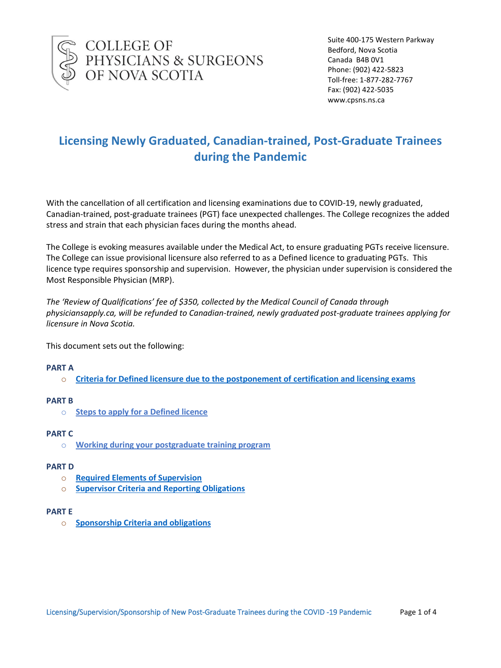

COLLEGE OF<br>PHYSICIANS & SURGEONS<br>OF NOVA SCOTIA

Suite 400-175 Western Parkway Bedford, Nova Scotia Canada B4B 0V1 Phone: (902) 422-5823 Toll-free: 1-877-282-7767 Fax: (902) 422-5035 www.cpsns.ns.ca

# **Licensing Newly Graduated, Canadian-trained, Post-Graduate Trainees during the Pandemic**

With the cancellation of all certification and licensing examinations due to COVID-19, newly graduated, Canadian-trained, post-graduate trainees (PGT) face unexpected challenges. The College recognizes the added stress and strain that each physician faces during the months ahead.

The College is evoking measures available under the Medical Act, to ensure graduating PGTs receive licensure. The College can issue provisional licensure also referred to as a Defined licence to graduating PGTs. This licence type requires sponsorship and supervision. However, the physician under supervision is considered the Most Responsible Physician (MRP).

*The 'Review of Qualifications' fee of \$350, collected by the Medical Council of Canada through physiciansapply.ca, will be refunded to Canadian-trained, newly graduated post-graduate trainees applying for licensure in Nova Scotia.*

This document sets out the following:

### **PART A**

o **Criteria for Defined [licensure due to the postponement of certification and licensing exams](#page-1-0)**

### **PART B**

o **Steps to apply for a Defined licence**

### **PART C**

o **Working during your postgraduate training program**

### **PART D**

- o **Required Elements of Supervision**
- o **[Supervisor Criteria and Reporting Obligations](#page-2-0)**

### **PART E**

o **[Sponsorship Criteria and obligations](#page-3-0)**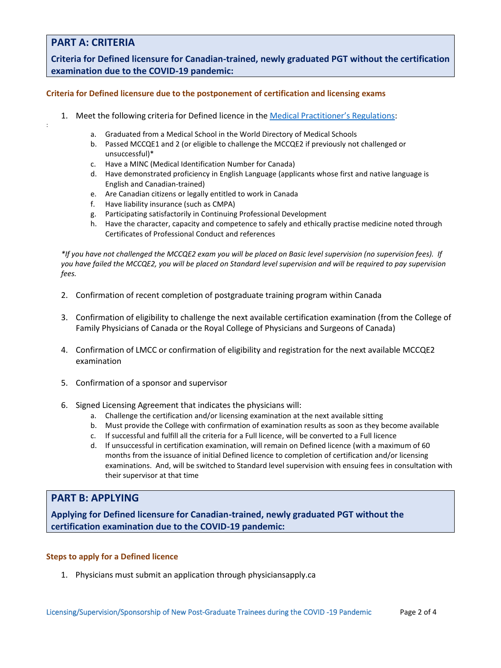# **PART A: CRITERIA**

:

**Criteria for Defined licensure for Canadian-trained, newly graduated PGT without the certification examination due to the COVID-19 pandemic:**

### <span id="page-1-0"></span>**Criteria for Defined licensure due to the postponement of certification and licensing exams**

- 1. Meet the following criteria for Defined licence in the [Medical Practitioner's](https://www.novascotia.ca/just/regulations/regs/medpractitioners.htm) Regulations:
	- a. Graduated from a Medical School in the World Directory of Medical Schools
	- b. Passed MCCQE1 and 2 (or eligible to challenge the MCCQE2 if previously not challenged or unsuccessful)\*
	- c. Have a MINC (Medical Identification Number for Canada)
	- d. Have demonstrated proficiency in English Language (applicants whose first and native language is English and Canadian-trained)
	- e. Are Canadian citizens or legally entitled to work in Canada
	- f. Have liability insurance (such as CMPA)
	- g. Participating satisfactorily in Continuing Professional Development
	- h. Have the character, capacity and competence to safely and ethically practise medicine noted through Certificates of Professional Conduct and references

*\*If you have not challenged the MCCQE2 exam you will be placed on Basic level supervision (no supervision fees). If you have failed the MCCQE2, you will be placed on Standard level supervision and will be required to pay supervision fees.*

- 2. Confirmation of recent completion of postgraduate training program within Canada
- 3. Confirmation of eligibility to challenge the next available certification examination (from the College of Family Physicians of Canada or the Royal College of Physicians and Surgeons of Canada)
- 4. Confirmation of LMCC or confirmation of eligibility and registration for the next available MCCQE2 examination
- 5. Confirmation of a sponsor and supervisor
- 6. Signed Licensing Agreement that indicates the physicians will:
	- a. Challenge the certification and/or licensing examination at the next available sitting
	- b. Must provide the College with confirmation of examination results as soon as they become available
	- c. If successful and fulfill all the criteria for a Full licence, will be converted to a Full licence
	- d. If unsuccessful in certification examination, will remain on Defined licence (with a maximum of 60 months from the issuance of initial Defined licence to completion of certification and/or licensing examinations. And, will be switched to Standard level supervision with ensuing fees in consultation with their supervisor at that time

## **PART B: APPLYING**

**Applying for Defined licensure for Canadian-trained, newly graduated PGT without the certification examination due to the COVID-19 pandemic:**

### **Steps to apply for a Defined licence**

1. Physicians must submit an application through physiciansapply.ca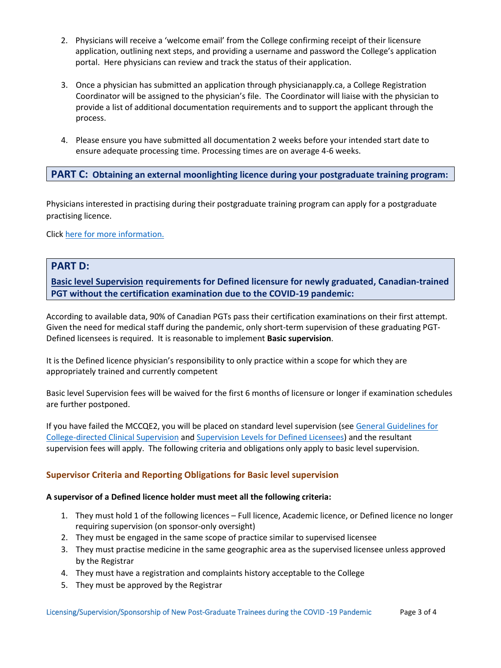- 2. Physicians will receive a 'welcome email' from the College confirming receipt of their licensure application, outlining next steps, and providing a username and password the College's application portal. Here physicians can review and track the status of their application.
- 3. Once a physician has submitted an application through physicianapply.ca, a College Registration Coordinator will be assigned to the physician's file. The Coordinator will liaise with the physician to provide a list of additional documentation requirements and to support the applicant through the process.
- 4. Please ensure you have submitted all documentation 2 weeks before your intended start date to ensure adequate processing time. Processing times are on average 4-6 weeks.

# **PART C: Obtaining an external moonlighting licence during your postgraduate training program:**

Physicians interested in practising during their postgraduate training program can apply for a postgraduate practising licence.

Click [here for more information.](https://cpsns.ns.ca/registration-licensing/post-graduate-medical-trainee/postgraduate-practising-licence/)

## **PART D:**

**Basic level Supervision requirements for Defined licensure for newly graduated, Canadian-trained PGT without the certification examination due to the COVID-19 pandemic:**

According to available data, 90% of Canadian PGTs pass their certification examinations on their first attempt. Given the need for medical staff during the pandemic, only short-term supervision of these graduating PGT-Defined licensees is required. It is reasonable to implement **Basic supervision**.

It is the Defined licence physician's responsibility to only practice within a scope for which they are appropriately trained and currently competent

Basic level Supervision fees will be waived for the first 6 months of licensure or longer if examination schedules are further postponed.

If you have failed the MCCQE2, you will be placed on standard level supervision (see [General Guidelines for](https://cpsns.ns.ca/wp-content/uploads/2017/10/General-Guidelines-for-College-Directed-Clinical-Supervision.pdf)  [College-directed Clinical Supervision](https://cpsns.ns.ca/wp-content/uploads/2017/10/General-Guidelines-for-College-Directed-Clinical-Supervision.pdf) and [Supervision Levels for Defined Licensees\)](https://cpsns.ns.ca/wp-content/uploads/2019/10/Supervision-Levels-for-Defined-Licensees-May-5-2017.pdf) and the resultant supervision fees will apply. The following criteria and obligations only apply to basic level supervision.

# <span id="page-2-0"></span>**Supervisor Criteria and Reporting Obligations for Basic level supervision**

### **A supervisor of a Defined licence holder must meet all the following criteria:**

- 1. They must hold 1 of the following licences Full licence, Academic licence, or Defined licence no longer requiring supervision (on sponsor-only oversight)
- 2. They must be engaged in the same scope of practice similar to supervised licensee
- 3. They must practise medicine in the same geographic area as the supervised licensee unless approved by the Registrar
- 4. They must have a registration and complaints history acceptable to the College
- 5. They must be approved by the Registrar